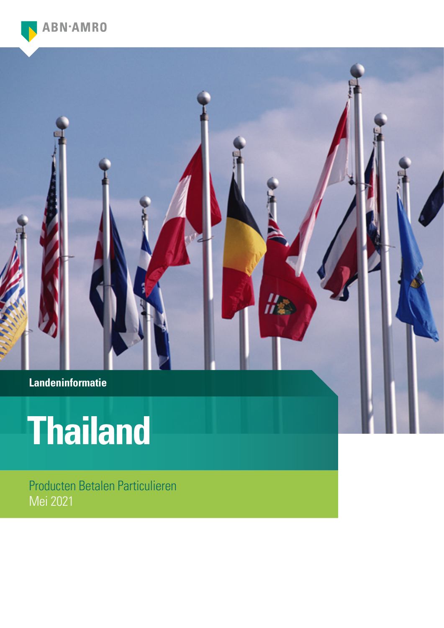

**Landeninformatie**

# **Thailand**

Producten Betalen Particulieren Mei 2021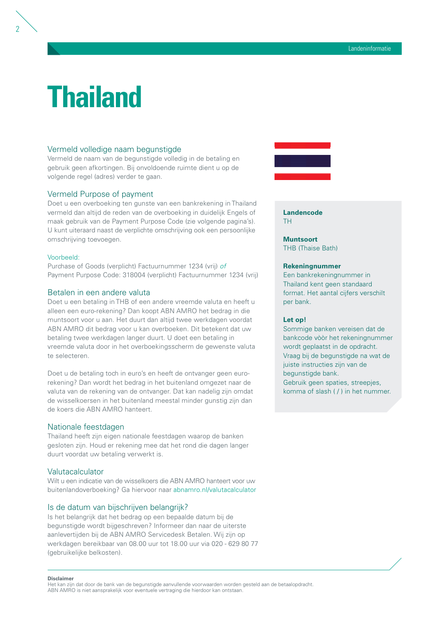## **Thailand**

#### Vermeld volledige naam begunstigde

Vermeld de naam van de begunstigde volledig in de betaling en gebruik geen afkortingen. Bij onvoldoende ruimte dient u op de volgende regel (adres) verder te gaan.

### Vermeld Purpose of payment

Doet u een overboeking ten gunste van een bankrekening in Thailand vermeld dan altijd de reden van de overboeking in duidelijk Engels of maak gebruik van de Payment Purpose Code (zie volgende pagina's). U kunt uiteraard naast de verplichte omschrijving ook een persoonlijke omschrijving toevoegen.

#### Voorbeeld:

 $\overline{\phantom{a}}$ 

Purchase of Goods (verplicht) Factuurnummer 1234 (vrij) *of* Payment Purpose Code: 318004 (verplicht) Factuurnummer 1234 (vrij)

#### Betalen in een andere valuta

Doet u een betaling in THB of een andere vreemde valuta en heeft u alleen een euro-rekening? Dan koopt ABN AMRO het bedrag in die muntsoort voor u aan. Het duurt dan altijd twee werkdagen voordat ABN AMRO dit bedrag voor u kan overboeken. Dit betekent dat uw betaling twee werkdagen langer duurt. U doet een betaling in vreemde valuta door in het overboekingsscherm de gewenste valuta te selecteren.

Doet u de betaling toch in euro's en heeft de ontvanger geen eurorekening? Dan wordt het bedrag in het buitenland omgezet naar de valuta van de rekening van de ontvanger. Dat kan nadelig zijn omdat de wisselkoersen in het buitenland meestal minder gunstig zijn dan de koers die ABN AMRO hanteert.

#### Nationale feestdagen

Thailand heeft zijn eigen nationale feestdagen waarop de banken gesloten zijn. Houd er rekening mee dat het rond die dagen langer duurt voordat uw betaling verwerkt is.

#### Valutacalculator

Wilt u een indicatie van de wisselkoers die ABN AMRO hanteert voor uw buitenlandoverboeking? Ga hiervoor naar [abnamro.nl/valutacalculator](http://abnamro.nl/valutacalculator)

#### Is de datum van bijschrijven belangrijk?

Is het belangrijk dat het bedrag op een bepaalde datum bij de begunstigde wordt bijgeschreven? Informeer dan naar de uiterste aanlevertijden bij de ABN AMRO Servicedesk Betalen. Wij zijn op werkdagen bereikbaar van 08.00 uur tot 18.00 uur via 020 - 629 80 77 (gebruikelijke belkosten).



**Landencode** TH

**Muntsoort** THB (Thaise Bath)

#### **Rekeningnummer**

Een bankrekeningnummer in Thailand kent geen standaard format. Het aantal cijfers verschilt per bank.

Landeninformatie

#### **Let op!**

Sommige banken vereisen dat de bankcode vòòr het rekeningnummer wordt geplaatst in de opdracht. Vraag bij de begunstigde na wat de juiste instructies zijn van de begunstigde bank. Gebruik geen spaties, streepjes, komma of slash ( / ) in het nummer.

#### **Disclaimer**

Het kan zijn dat door de bank van de begunstigde aanvullende voorwaarden worden gesteld aan de betaalopdracht. ABN AMRO is niet aansprakelijk voor eventuele vertraging die hierdoor kan ontstaan.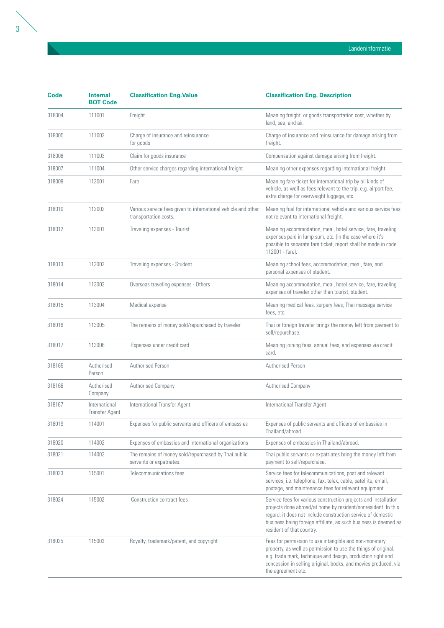| Code   | <b>Internal</b><br><b>BOT Code</b>     | <b>Classification Eng. Value</b>                                                       | <b>Classification Eng. Description</b>                                                                                                                                                                                                                                                           |
|--------|----------------------------------------|----------------------------------------------------------------------------------------|--------------------------------------------------------------------------------------------------------------------------------------------------------------------------------------------------------------------------------------------------------------------------------------------------|
| 318004 | 111001                                 | Freight                                                                                | Meaning freight, or goods transportation cost, whether by<br>land, sea, and air.                                                                                                                                                                                                                 |
| 318005 | 111002                                 | Charge of insurance and reinsurance<br>for goods                                       | Charge of insurance and reinsurance for damage arising from<br>freight.                                                                                                                                                                                                                          |
| 318006 | 111003                                 | Claim for goods insurance                                                              | Compensation against damage arising from freight.                                                                                                                                                                                                                                                |
| 318007 | 111004                                 | Other service charges regarding international freight                                  | Meaning other expenses regarding international freight.                                                                                                                                                                                                                                          |
| 318009 | 112001                                 | Fare                                                                                   | Meaning fare ticket for international trip by all kinds of<br>vehicle, as well as fees relevant to the trip, e.g. airport fee,<br>extra charge for overweight luggage, etc.                                                                                                                      |
| 318010 | 112002                                 | Various service fees given to international vehicle and other<br>transportation costs. | Meaning fuel for international vehicle and various service fees<br>not relevant to international freight.                                                                                                                                                                                        |
| 318012 | 113001                                 | Traveling expenses - Tourist                                                           | Meaning accommodation, meal, hotel service, fare, traveling<br>expenses paid in lump sum, etc. (in the case where it's<br>possible to separate fare ticket, report shall be made in code<br>112001 - fare).                                                                                      |
| 318013 | 113002                                 | Traveling expenses - Student                                                           | Meaning school fees, accommodation, meal, fare, and<br>personal expenses of student.                                                                                                                                                                                                             |
| 318014 | 113003                                 | Overseas traveling expenses - Others                                                   | Meaning accommodation, meal, hotel service, fare, traveling<br>expenses of traveler other than tourist, student.                                                                                                                                                                                 |
| 318015 | 113004                                 | Medical expense                                                                        | Meaning medical fees, surgery fees, Thai massage service<br>fees, etc.                                                                                                                                                                                                                           |
| 318016 | 113005                                 | The remains of money sold/repurchased by traveler                                      | Thai or foreign traveler brings the money left from payment to<br>sell/repurchase.                                                                                                                                                                                                               |
| 318017 | 113006                                 | Expenses under credit card                                                             | Meaning joining fees, annual fees, and expenses via credit<br>card.                                                                                                                                                                                                                              |
| 318165 | Authorised<br>Person                   | Authorised Person                                                                      | Authorised Person                                                                                                                                                                                                                                                                                |
| 318166 | Authorised<br>Company                  | Authorised Company                                                                     | Authorised Company                                                                                                                                                                                                                                                                               |
| 318167 | International<br><b>Transfer Agent</b> | International Transfer Agent                                                           | International Transfer Agent                                                                                                                                                                                                                                                                     |
| 318019 | 114001                                 | Expenses for public servants and officers of embassies                                 | Expenses of public servants and officers of embassies in<br>Thailand/abroad.                                                                                                                                                                                                                     |
| 318020 | 114002                                 | Expenses of embassies and international organizations                                  | Expenses of embassies in Thailand/abroad.                                                                                                                                                                                                                                                        |
| 318021 | 114003                                 | The remains of money sold/repurchased by Thai public<br>servants or expatriates.       | Thai public servants or expatriates bring the money left from<br>payment to sell/repurchase.                                                                                                                                                                                                     |
| 318023 | 115001                                 | Telecommunications fees                                                                | Service fees for telecommunications, post and relevant<br>services, i.e. telephone, fax, telex, cable, satellite, email,<br>postage, and maintenance fees for relevant equipment.                                                                                                                |
| 318024 | 115002                                 | <b>Construction contract fees</b>                                                      | Service fees for various construction projects and installation<br>projects done abroad/at home by resident/nonresident. In this<br>regard, it does not include construction service of domestic<br>business being foreign affiliate, as such business is deemed as<br>resident of that country. |
| 318025 | 115003                                 | Royalty, trademark/patent, and copyright                                               | Fees for permission to use intangible and non-monetary<br>property, as well as permission to use the things of original,<br>e.g. trade mark, technique and design, production right and<br>concession in selling original, books, and movies produced, via<br>the agreement etc.                 |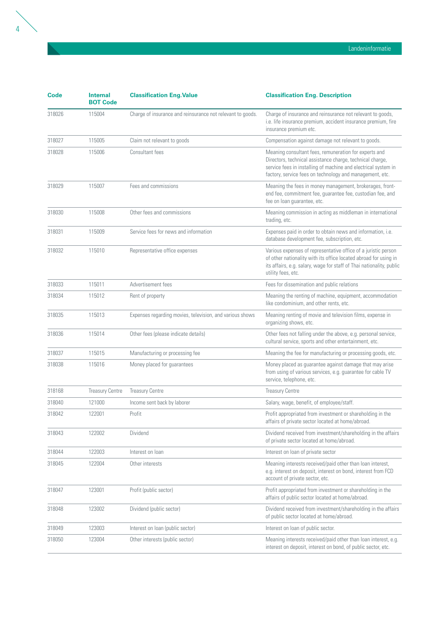| Code   | <b>Internal</b><br><b>BOT Code</b> | <b>Classification Eng. Value</b>                           | <b>Classification Eng. Description</b>                                                                                                                                                                                                           |
|--------|------------------------------------|------------------------------------------------------------|--------------------------------------------------------------------------------------------------------------------------------------------------------------------------------------------------------------------------------------------------|
| 318026 | 115004                             | Charge of insurance and reinsurance not relevant to goods. | Charge of insurance and reinsurance not relevant to goods,<br>i.e. life insurance premium, accident insurance premium, fire<br>insurance premium etc.                                                                                            |
| 318027 | 115005                             | Claim not relevant to goods                                | Compensation against damage not relevant to goods.                                                                                                                                                                                               |
| 318028 | 115006                             | Consultant fees                                            | Meaning consultant fees, remuneration for experts and<br>Directors, technical assistance charge, technical charge,<br>service fees in installing of machine and electrical system in<br>factory, service fees on technology and management, etc. |
| 318029 | 115007                             | Fees and commissions                                       | Meaning the fees in money management, brokerages, front-<br>end fee, commitment fee, guarantee fee, custodian fee, and<br>fee on loan guarantee, etc.                                                                                            |
| 318030 | 115008                             | Other fees and commissions                                 | Meaning commission in acting as middleman in international<br>trading, etc.                                                                                                                                                                      |
| 318031 | 115009                             | Service fees for news and information                      | Expenses paid in order to obtain news and information, i.e.<br>database development fee, subscription, etc.                                                                                                                                      |
| 318032 | 115010                             | Representative office expenses                             | Various expenses of representative office of a juristic person<br>of other nationality with its office located abroad for using in<br>its affairs, e.g. salary, wage for staff of Thai nationality, public<br>utility fees, etc.                 |
| 318033 | 115011                             | Advertisement fees                                         | Fees for dissemination and public relations                                                                                                                                                                                                      |
| 318034 | 115012                             | Rent of property                                           | Meaning the renting of machine, equipment, accommodation<br>like condominium, and other rents, etc.                                                                                                                                              |
| 318035 | 115013                             | Expenses regarding movies, television, and various shows   | Meaning renting of movie and television films, expense in<br>organizing shows, etc.                                                                                                                                                              |
| 318036 | 115014                             | Other fees (please indicate details)                       | Other fees not falling under the above, e.g. personal service,<br>cultural service, sports and other entertainment, etc.                                                                                                                         |
| 318037 | 115015                             | Manufacturing or processing fee                            | Meaning the fee for manufacturing or processing goods, etc.                                                                                                                                                                                      |
| 318038 | 115016                             | Money placed for guarantees                                | Money placed as guarantee against damage that may arise<br>from using of various services, e.g. guarantee for cable TV<br>service, telephone, etc.                                                                                               |
| 318168 | <b>Treasury Centre</b>             | <b>Treasury Centre</b>                                     | <b>Treasury Centre</b>                                                                                                                                                                                                                           |
| 318040 | 121000                             | Income sent back by laborer                                | Salary, wage, benefit, of employee/staff.                                                                                                                                                                                                        |
| 318042 | 122001                             | Profit                                                     | Profit appropriated from investment or shareholding in the<br>affairs of private sector located at home/abroad.                                                                                                                                  |
| 318043 | 122002                             | Dividend                                                   | Dividend received from investment/shareholding in the affairs<br>of private sector located at home/abroad.                                                                                                                                       |
| 318044 | 122003                             | Interest on loan                                           | Interest on loan of private sector                                                                                                                                                                                                               |
| 318045 | 122004                             | Other interests                                            | Meaning interests received/paid other than loan interest,<br>e.g. interest on deposit, interest on bond, interest from FCD<br>account of private sector, etc.                                                                                    |
| 318047 | 123001                             | Profit (public sector)                                     | Profit appropriated from investment or shareholding in the<br>affairs of public sector located at home/abroad.                                                                                                                                   |
| 318048 | 123002                             | Dividend (public sector)                                   | Dividend received from investment/shareholding in the affairs<br>of public sector located at home/abroad.                                                                                                                                        |
| 318049 | 123003                             | Interest on loan (public sector)                           | Interest on loan of public sector.                                                                                                                                                                                                               |

318050 123004 Other interests (public sector) Meaning interests received/paid other than loan interest, e.g.

interest on deposit, interest on bond, of public sector, etc.

Landeninformatie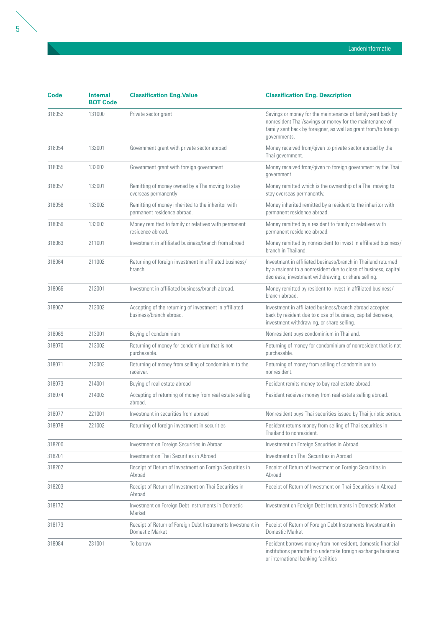| Code   | <b>Internal</b><br><b>BOT Code</b> | <b>Classification Eng. Value</b>                                                  | <b>Classification Eng. Description</b>                                                                                                                                                                     |
|--------|------------------------------------|-----------------------------------------------------------------------------------|------------------------------------------------------------------------------------------------------------------------------------------------------------------------------------------------------------|
| 318052 | 131000                             | Private sector grant                                                              | Savings or money for the maintenance of family sent back by<br>nonresident Thai/savings or money for the maintenance of<br>family sent back by foreigner, as well as grant from/to foreign<br>governments. |
| 318054 | 132001                             | Government grant with private sector abroad                                       | Money received from/given to private sector abroad by the<br>Thai government.                                                                                                                              |
| 318055 | 132002                             | Government grant with foreign government                                          | Money received from/given to foreign government by the Thai<br>government.                                                                                                                                 |
| 318057 | 133001                             | Remitting of money owned by a Tha moving to stay<br>overseas permanently          | Money remitted which is the ownership of a Thai moving to<br>stay overseas permanently.                                                                                                                    |
| 318058 | 133002                             | Remitting of money inherited to the inheritor with<br>permanent residence abroad. | Money inherited remitted by a resident to the inheritor with<br>permanent residence abroad.                                                                                                                |
| 318059 | 133003                             | Money remitted to family or relatives with permanent<br>residence abroad.         | Money remitted by a resident to family or relatives with<br>permanent residence abroad.                                                                                                                    |
| 318063 | 211001                             | Investment in affiliated business/branch from abroad                              | Money remitted by nonresident to invest in affiliated business/<br>branch in Thailand.                                                                                                                     |
| 318064 | 211002                             | Returning of foreign investment in affiliated business/<br>branch.                | Investment in affiliated business/branch in Thailand returned<br>by a resident to a nonresident due to close of business, capital<br>decrease, investment withdrawing, or share selling.                   |
| 318066 | 212001                             | Investment in affiliated business/branch abroad.                                  | Money remitted by resident to invest in affiliated business/<br>branch abroad.                                                                                                                             |
| 318067 | 212002                             | Accepting of the returning of investment in affiliated<br>business/branch abroad. | Investment in affiliated business/branch abroad accepted<br>back by resident due to close of business, capital decrease,<br>investment withdrawing, or share selling.                                      |
| 318069 | 213001                             | Buying of condominium                                                             | Nonresident buys condominium in Thailand.                                                                                                                                                                  |
| 318070 | 213002                             | Returning of money for condominium that is not<br>purchasable.                    | Returning of money for condominium of nonresident that is not<br>purchasable.                                                                                                                              |
| 318071 | 213003                             | Returning of money from selling of condominium to the<br>receiver.                | Returning of money from selling of condominium to<br>nonresident.                                                                                                                                          |
| 318073 | 214001                             | Buying of real estate abroad                                                      | Resident remits money to buy real estate abroad.                                                                                                                                                           |
| 318074 | 214002                             | Accepting of returning of money from real estate selling<br>abroad.               | Resident receives money from real estate selling abroad.                                                                                                                                                   |
| 318077 | 221001                             | Investment in securities from abroad                                              | Nonresident buys Thai securities issued by Thai juristic person.                                                                                                                                           |
| 318078 | 221002                             | Returning of foreign investment in securities                                     | Resident returns money from selling of Thai securities in<br>Thailand to nonresident.                                                                                                                      |
| 318200 |                                    | Investment on Foreign Securities in Abroad                                        | Investment on Foreign Securities in Abroad                                                                                                                                                                 |
| 318201 |                                    | Investment on Thai Securities in Abroad                                           | Investment on Thai Securities in Abroad                                                                                                                                                                    |
| 318202 |                                    | Receipt of Return of Investment on Foreign Securities in<br>Abroad                | Receipt of Return of Investment on Foreign Securities in<br>Abroad                                                                                                                                         |
| 318203 |                                    | Receipt of Return of Investment on Thai Securities in<br>Abroad                   | Receipt of Return of Investment on Thai Securities in Abroad                                                                                                                                               |
| 318172 |                                    | Investment on Foreign Debt Instruments in Domestic<br>Market                      | Investment on Foreign Debt Instruments in Domestic Market                                                                                                                                                  |
| 318173 |                                    | Receipt of Return of Foreign Debt Instruments Investment in<br>Domestic Market    | Receipt of Return of Foreign Debt Instruments Investment in<br>Domestic Market                                                                                                                             |
| 318084 | 231001                             | To borrow                                                                         | Resident borrows money from nonresident, domestic financial<br>institutions permitted to undertake foreign exchange business<br>or international banking facilities                                        |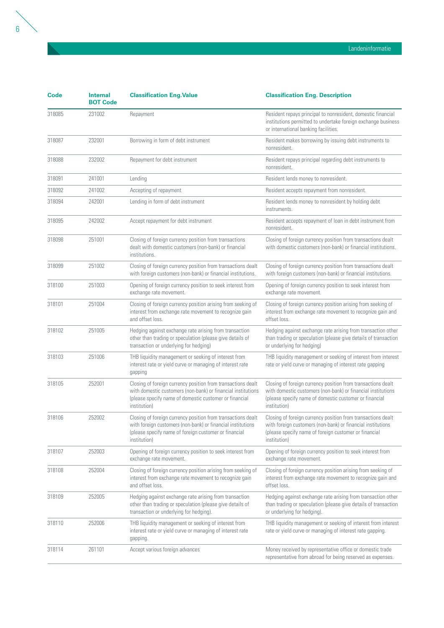| Code   | <b>Internal</b><br><b>BOT Code</b> | <b>Classification Eng. Value</b>                                                                                                                                                                       | <b>Classification Eng. Description</b>                                                                                                                                                                 |
|--------|------------------------------------|--------------------------------------------------------------------------------------------------------------------------------------------------------------------------------------------------------|--------------------------------------------------------------------------------------------------------------------------------------------------------------------------------------------------------|
| 318085 | 231002                             | Repayment                                                                                                                                                                                              | Resident repays principal to nonresident, domestic financial<br>institutions permitted to undertake foreign exchange business<br>or international banking facilities.                                  |
| 318087 | 232001                             | Borrowing in form of debt instrument                                                                                                                                                                   | Resident makes borrowing by issuing debt instruments to<br>nonresident.                                                                                                                                |
| 318088 | 232002                             | Repayment for debt instrument                                                                                                                                                                          | Resident repays principal regarding debt instruments to<br>nonresident.                                                                                                                                |
| 318091 | 241001                             | Lending                                                                                                                                                                                                | Resident lends money to nonresident.                                                                                                                                                                   |
| 318092 | 241002                             | Accepting of repayment                                                                                                                                                                                 | Resident accepts repayment from nonresident.                                                                                                                                                           |
| 318094 | 242001                             | Lending in form of debt instrument                                                                                                                                                                     | Resident lends money to nonresident by holding debt<br>instruments.                                                                                                                                    |
| 318095 | 242002                             | Accept repayment for debt instrument                                                                                                                                                                   | Resident accepts repayment of loan in debt instrument from<br>nonresident.                                                                                                                             |
| 318098 | 251001                             | Closing of foreign currency position from transactions<br>dealt with domestic customers (non-bank) or financial<br>institutions.                                                                       | Closing of foreign currency position from transactions dealt<br>with domestic customers (non-bank) or financial institutions.                                                                          |
| 318099 | 251002                             | Closing of foreign currency position from transactions dealt<br>with foreign customers (non-bank) or financial institutions.                                                                           | Closing of foreign currency position from transactions dealt<br>with foreign customers (non-bank) or financial institutions.                                                                           |
| 318100 | 251003                             | Opening of foreign currency position to seek interest from<br>exchange rate movement.                                                                                                                  | Opening of foreign currency position to seek interest from<br>exchange rate movement.                                                                                                                  |
| 318101 | 251004                             | Closing of foreign currency position arising from seeking of<br>interest from exchange rate movement to recognize gain<br>and offset loss.                                                             | Closing of foreign currency position arising from seeking of<br>interest from exchange rate movement to recognize gain and<br>offset loss.                                                             |
| 318102 | 251005                             | Hedging against exchange rate arising from transaction<br>other than trading or speculation (please give details of<br>transaction or underlying for hedging)                                          | Hedging against exchange rate arising from transaction other<br>than trading or speculation (please give details of transaction<br>or underlying for hedging)                                          |
| 318103 | 251006                             | THB liquidity management or seeking of interest from<br>interest rate or yield curve or managing of interest rate<br>gapping                                                                           | THB liquidity management or seeking of interest from interest<br>rate or yield curve or managing of interest rate gapping                                                                              |
| 318105 | 252001                             | Closing of foreign currency position from transactions dealt<br>with domestic customers (non-bank) or financial institutions<br>(please specify name of domestic customer or financial<br>institution) | Closing of foreign currency position from transactions dealt<br>with domestic customers (non-bank) or financial institutions<br>(please specify name of domestic customer or financial<br>institution) |
| 318106 | 252002                             | Closing of foreign currency position from transactions dealt<br>with foreign customers (non-bank) or financial institutions<br>(please specify name of foreign customer or financial<br>institution)   | Closing of foreign currency position from transactions dealt<br>with foreign customers (non-bank) or financial institutions<br>(please specify name of foreign customer or financial<br>institution)   |
| 318107 | 252003                             | Opening of foreign currency position to seek interest from<br>exchange rate movement.                                                                                                                  | Opening of foreign currency position to seek interest from<br>exchange rate movement.                                                                                                                  |
| 318108 | 252004                             | Closing of foreign currency position arising from seeking of<br>interest from exchange rate movement to recognize gain<br>and offset loss.                                                             | Closing of foreign currency position arising from seeking of<br>interest from exchange rate movement to recognize gain and<br>offset loss.                                                             |
| 318109 | 252005                             | Hedging against exchange rate arising from transaction<br>other than trading or speculation (please give details of<br>transaction or underlying for hedging).                                         | Hedging against exchange rate arising from transaction other<br>than trading or speculation (please give details of transaction<br>or underlying for hedging).                                         |
| 318110 | 252006                             | THB liquidity management or seeking of interest from<br>interest rate or yield curve or managing of interest rate<br>gapping.                                                                          | THB liquidity management or seeking of interest from interest<br>rate or yield curve or managing of interest rate gapping.                                                                             |
| 318114 | 261101                             | Accept various foreign advances                                                                                                                                                                        | Money received by representative office or domestic trade<br>representative from abroad for being reserved as expenses.                                                                                |

Landeninformatie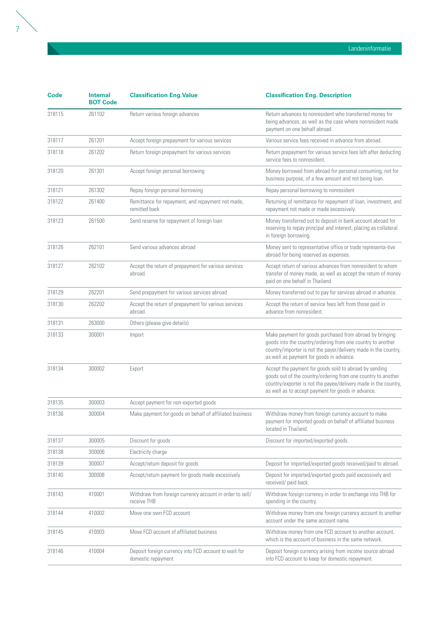| <b>Code</b> | <b>Internal</b><br><b>BOT Code</b> | <b>Classification Eng. Value</b>                                            | <b>Classification Eng. Description</b>                                                                                                                                                                                                           |
|-------------|------------------------------------|-----------------------------------------------------------------------------|--------------------------------------------------------------------------------------------------------------------------------------------------------------------------------------------------------------------------------------------------|
| 318115      | 261102                             | Return various foreign advances                                             | Return advances to nonresident who transferred money for<br>being advances, as well as the case where nonresident made<br>payment on one behalf abroad.                                                                                          |
| 318117      | 261201                             | Accept foreign prepayment for various services                              | Various service fees received in advance from abroad.                                                                                                                                                                                            |
| 318118      | 261202                             | Return foreign prepayment for various services                              | Return prepayment for various service fees left after deducting<br>service fees to nonresident.                                                                                                                                                  |
| 318120      | 261301                             | Accept foreign personal borrowing                                           | Money borrowed from abroad for personal consuming, not for<br>business purpose, of a few amount and not being loan.                                                                                                                              |
| 318121      | 261302                             | Repay foreign personal borrowing                                            | Repay personal borrowing to nonresident                                                                                                                                                                                                          |
| 318122      | 261400                             | Remittance for repayment, and repayment not made,<br>remitted back          | Returning of remittance for repayment of loan, investment, and<br>repayment not made or made excessively.                                                                                                                                        |
| 318123      | 261500                             | Send reserve for repayment of foreign loan                                  | Money transferred out to deposit in bank account abroad for<br>reserving to repay principal and interest, placing as collateral<br>in foreign borrowing.                                                                                         |
| 318126      | 262101                             | Send various advances abroad                                                | Money sent to representative office or trade representa-tive<br>abroad for being reserved as expenses.                                                                                                                                           |
| 318127      | 262102                             | Accept the return of prepayment for various services<br>abroad.             | Accept return of various advances from nonresident to whom<br>transfer of money made, as well as accept the return of money<br>paid on one behalf in Thailand.                                                                                   |
| 318129      | 262201                             | Send prepayment for various services abroad                                 | Money transferred out to pay for services abroad in advance.                                                                                                                                                                                     |
| 318130      | 262202                             | Accept the return of prepayment for various services<br>abroad.             | Accept the return of service fees left from those paid in<br>advance from nonresident.                                                                                                                                                           |
| 318131      | 263000                             | Others (please give details)                                                |                                                                                                                                                                                                                                                  |
| 318133      | 300001                             | Import                                                                      | Make payment for goods purchased from abroad by bringing<br>goods into the country/ordering from one country to another<br>country/importer is not the payer/delivery made in the country,<br>as well as payment for goods in advance.           |
| 318134      | 300002                             | Export                                                                      | Accept the payment for goods sold to abroad by sending<br>goods out of the country/ordering from one country to another<br>country/exporter is not the payee/delivery made in the country,<br>as well as to accept payment for goods in advance. |
| 318135      | 300003                             | Accept payment for non-exported goods                                       |                                                                                                                                                                                                                                                  |
| 318136      | 300004                             | Make payment for goods on behalf of affiliated business                     | Withdraw money from foreign currency account to make<br>payment for imported goods on behalf of affiliated business<br>located in Thailand.                                                                                                      |
| 318137      | 300005                             | Discount for goods                                                          | Discount for imported/exported goods.                                                                                                                                                                                                            |
| 318138      | 300006                             | Electricity charge                                                          |                                                                                                                                                                                                                                                  |
| 318139      | 300007                             | Accept/return deposit for goods                                             | Deposit for imported/exported goods received/paid to abroad.                                                                                                                                                                                     |
| 318140      | 300008                             | Accept/return payment for goods made excessively                            | Deposit for imported/exported goods paid excessively and<br>received/ paid back.                                                                                                                                                                 |
| 318143      | 410001                             | Withdraw from foreign currency account in order to sell/<br>receive THB     | Withdraw foreign currency in order to exchange into THB for<br>spending in the country.                                                                                                                                                          |
| 318144      | 410002                             | Move one own FCD account                                                    | Withdraw money from one foreign currency account to another<br>account under the same account name.                                                                                                                                              |
| 318145      | 410003                             | Move FCD account of affiliated business                                     | Withdraw money from one FCD account to another account,<br>which is the account of business in the same network.                                                                                                                                 |
| 318146      | 410004                             | Deposit foreign currency into FCD account to wait for<br>domestic repayment | Deposit foreign currency arising from income source abroad<br>into FCD account to keep for domestic repayment.                                                                                                                                   |

Landeninformatie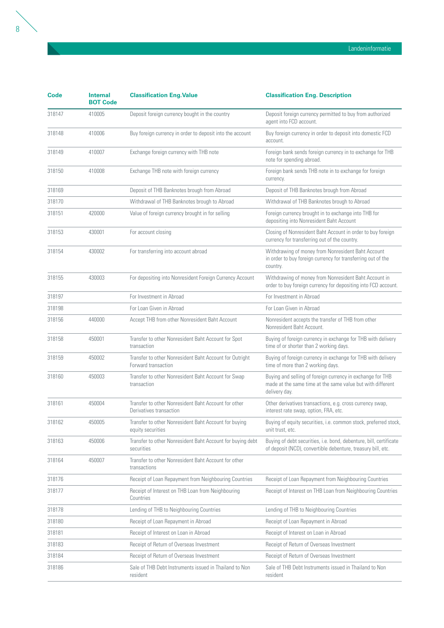| <b>Code</b> | <b>Internal</b><br><b>BOT Code</b> | <b>Classification Eng. Value</b>                                                | <b>Classification Eng. Description</b>                                                                                                    |
|-------------|------------------------------------|---------------------------------------------------------------------------------|-------------------------------------------------------------------------------------------------------------------------------------------|
| 318147      | 410005                             | Deposit foreign currency bought in the country                                  | Deposit foreign currency permitted to buy from authorized<br>agent into FCD account.                                                      |
| 318148      | 410006                             | Buy foreign currency in order to deposit into the account                       | Buy foreign currency in order to deposit into domestic FCD<br>account.                                                                    |
| 318149      | 410007                             | Exchange foreign currency with THB note                                         | Foreign bank sends foreign currency in to exchange for THB<br>note for spending abroad.                                                   |
| 318150      | 410008                             | Exchange THB note with foreign currency                                         | Foreign bank sends THB note in to exchange for foreign<br>currency.                                                                       |
| 318169      |                                    | Deposit of THB Banknotes brough from Abroad                                     | Deposit of THB Banknotes brough from Abroad                                                                                               |
| 318170      |                                    | Withdrawal of THB Banknotes brough to Abroad                                    | Withdrawal of THB Banknotes brough to Abroad                                                                                              |
| 318151      | 420000                             | Value of foreign currency brought in for selling                                | Foreign currency brought in to exchange into THB for<br>depositing into Nonresident Baht Account                                          |
| 318153      | 430001                             | For account closing                                                             | Closing of Nonresident Baht Account in order to buy foreign<br>currency for transferring out of the country.                              |
| 318154      | 430002                             | For transferring into account abroad                                            | Withdrawing of money from Nonresident Baht Account<br>in order to buy foreign currency for transferring out of the<br>country.            |
| 318155      | 430003                             | For depositing into Nonresident Foreign Currency Account                        | Withdrawing of money from Nonresident Baht Account in<br>order to buy foreign currency for depositing into FCD account.                   |
| 318197      |                                    | For Investment in Abroad                                                        | For Investment in Abroad                                                                                                                  |
| 318198      |                                    | For Loan Given in Abroad                                                        | For Loan Given in Abroad                                                                                                                  |
| 318156      | 440000                             | Accept THB from other Nonresident Baht Account                                  | Nonresident accepts the transfer of THB from other<br>Nonresident Baht Account.                                                           |
| 318158      | 450001                             | Transfer to other Nonresident Baht Account for Spot<br>transaction              | Buying of foreign currency in exchange for THB with delivery<br>time of or shorter than 2 working days.                                   |
| 318159      | 450002                             | Transfer to other Nonresident Baht Account for Outright<br>Forward transaction  | Buying of foreign currency in exchange for THB with delivery<br>time of more than 2 working days.                                         |
| 318160      | 450003                             | Transfer to other Nonresident Baht Account for Swap<br>transaction              | Buying and selling of foreign currency in exchange for THB<br>made at the same time at the same value but with different<br>delivery day. |
| 318161      | 450004                             | Transfer to other Nonresident Baht Account for other<br>Derivatives transaction | Other derivatives transactions, e.g. cross currency swap,<br>interest rate swap, option, FRA, etc.                                        |
| 318162      | 450005                             | Transfer to other Nonresident Baht Account for buying<br>equity securities      | Buying of equity securities, i.e. common stock, preferred stock,<br>unit trust, etc.                                                      |
| 318163      | 450006                             | Transfer to other Nonresident Baht Account for buying debt<br>securities        | Buying of debt securities, i.e. bond, debenture, bill, certificate<br>of deposit (NCD), convertible debenture, treasury bill, etc.        |
| 318164      | 450007                             | Transfer to other Nonresident Baht Account for other<br>transactions            |                                                                                                                                           |
| 318176      |                                    | Receipt of Loan Repayment from Neighbouring Countries                           | Receipt of Loan Repayment from Neighbouring Countries                                                                                     |
| 318177      |                                    | Receipt of Interest on THB Loan from Neighbouring<br>Countries                  | Receipt of Interest on THB Loan from Neighbouring Countries                                                                               |
| 318178      |                                    | Lending of THB to Neighbouring Countries                                        | Lending of THB to Neighbouring Countries                                                                                                  |
| 318180      |                                    | Receipt of Loan Repayment in Abroad                                             | Receipt of Loan Repayment in Abroad                                                                                                       |
| 318181      |                                    | Receipt of Interest on Loan in Abroad                                           | Receipt of Interest on Loan in Abroad                                                                                                     |
| 318183      |                                    | Receipt of Return of Overseas Investment                                        | Receipt of Return of Overseas Investment                                                                                                  |
| 318184      |                                    | Receipt of Return of Overseas Investment                                        | Receipt of Return of Overseas Investment                                                                                                  |
| 318186      |                                    | Sale of THB Debt Instruments issued in Thailand to Non<br>resident              | Sale of THB Debt Instruments issued in Thailand to Non<br>resident                                                                        |

Landeninformatie

 $\overline{a}$